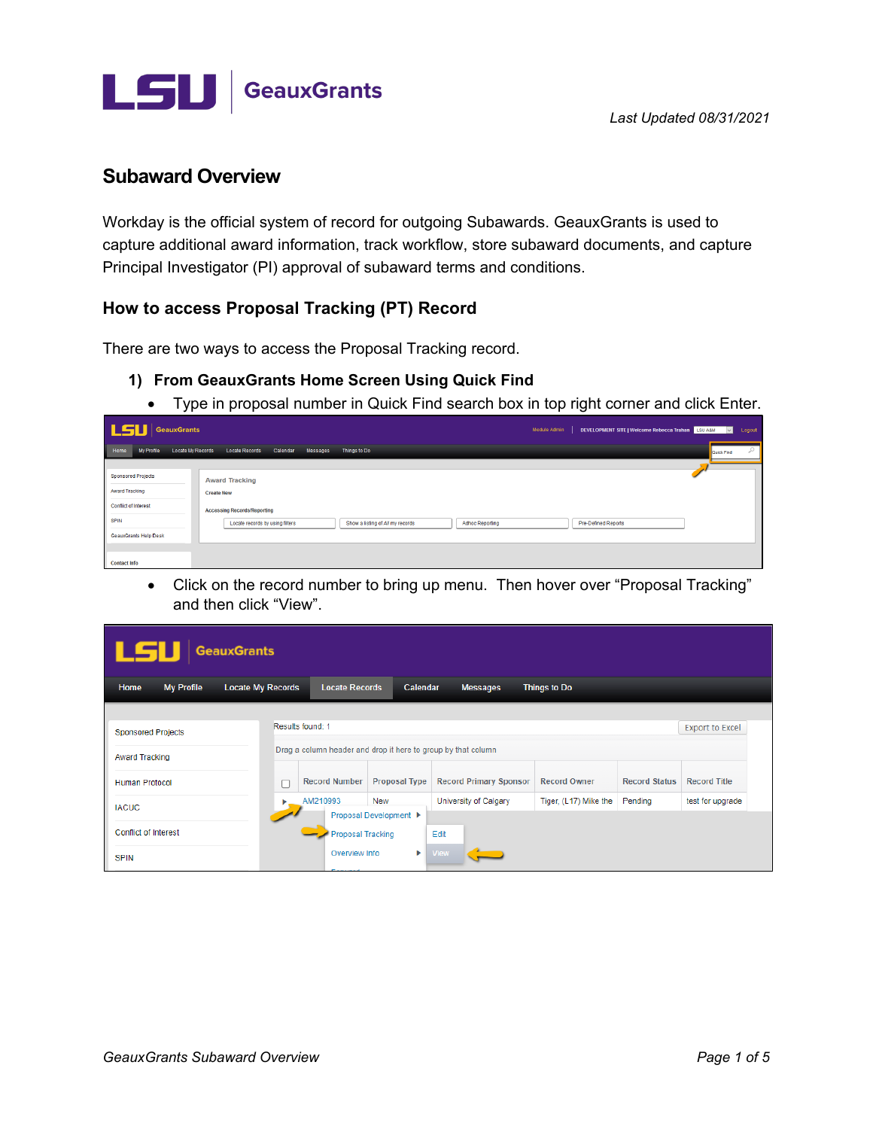

# **Subaward Overview**

Workday is the official system of record for outgoing Subawards. GeauxGrants is used to capture additional award information, track workflow, store subaward documents, and capture Principal Investigator (PI) approval of subaward terms and conditions.

# How to access Proposal Tracking (PT) Record

There are two ways to access the Proposal Tracking record.

- 1) From GeauxGrants Home Screen Using Quick Find
	- Type in proposal number in Quick Find search box in top right corner and click Enter.

| <b>LSU</b> GeauxGrants                                                                                                    | DEVELOPMENT SITE   Welcome Rebecca Trahan   LSU A&M<br>Module Admin<br>Logout<br>$\vee$                                                                                                                         |
|---------------------------------------------------------------------------------------------------------------------------|-----------------------------------------------------------------------------------------------------------------------------------------------------------------------------------------------------------------|
| <b>My Profile</b><br>Home<br><b>Locate My Records</b>                                                                     | Q<br><b>Locate Records</b><br>Calendar<br>Messages<br>Things to Do<br>Quick Find                                                                                                                                |
| <b>Sponsored Projects</b><br>Award Tracking<br><b>Conflict of Interest</b><br><b>SPIN</b><br><b>GeauxGrants Help Desk</b> | <b>Award Tracking</b><br><b>Create New</b><br><b>Accessing Records/Reporting</b><br>Show a listing of All my records<br><b>Adhoc Reporting</b><br><b>Pre-Defined Reports</b><br>Locate records by using filters |
| <b>Contact Info</b>                                                                                                       |                                                                                                                                                                                                                 |

• Click on the record number to bring up menu. Then hover over "Proposal Tracking" and then click "View".

| LSU<br><b>GeauxGrants</b>                      |                          |                                                                                                               |          |                               |                       |                      |                        |  |
|------------------------------------------------|--------------------------|---------------------------------------------------------------------------------------------------------------|----------|-------------------------------|-----------------------|----------------------|------------------------|--|
| Home<br><b>My Profile</b>                      | <b>Locate My Records</b> | <b>Locate Records</b>                                                                                         | Calendar | <b>Messages</b>               | <b>Things to Do</b>   |                      |                        |  |
| <b>Sponsored Projects</b>                      | Results found: 1         |                                                                                                               |          |                               |                       |                      | <b>Export to Excel</b> |  |
| <b>Award Tracking</b><br><b>Human Protocol</b> |                          | Drag a column header and drop it here to group by that column<br><b>Record Number</b><br><b>Proposal Type</b> |          | <b>Record Primary Sponsor</b> | <b>Record Owner</b>   | <b>Record Status</b> | <b>Record Title</b>    |  |
| <b>IACUC</b>                                   | ь                        | AM210993<br><b>New</b><br>Proposal Development ▶                                                              |          | University of Calgary         | Tiger, (L17) Mike the | Pending              | test for upgrade       |  |
| <b>Conflict of Interest</b>                    |                          | <b>Proposal Tracking</b>                                                                                      |          | Edit                          |                       |                      |                        |  |
| <b>SPIN</b>                                    |                          | Overview Info                                                                                                 | Þ.       | <b>View</b>                   |                       |                      |                        |  |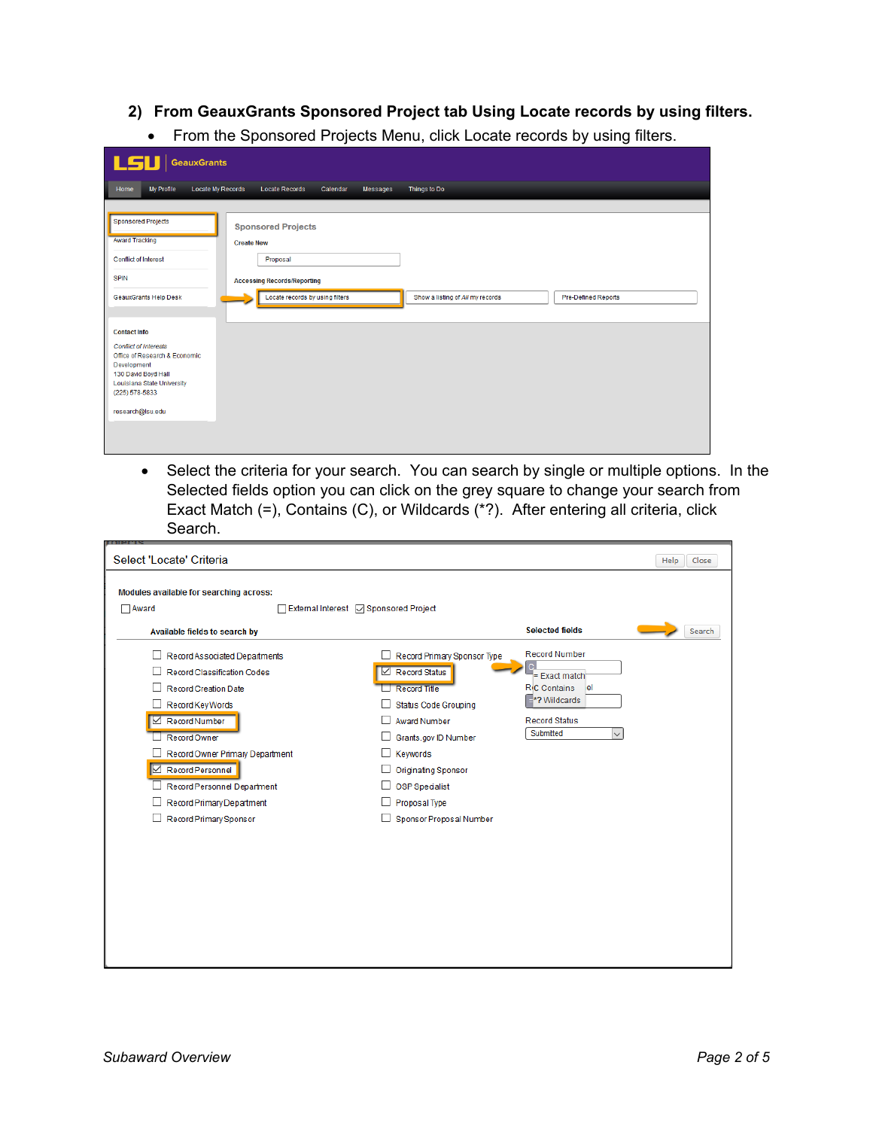### 2) From GeauxGrants Sponsored Project tab Using Locate records by using filters.

From the Sponsored Projects Menu, click Locate records by using filters.  $\bullet$ 

| <b>LSU</b><br><b>GeauxGrants</b>             |                                                                                                   |
|----------------------------------------------|---------------------------------------------------------------------------------------------------|
| My Profile<br>Locate My Records<br>Home      | Things to Do<br><b>Locate Records</b><br>Calendar<br>Messages                                     |
|                                              |                                                                                                   |
| <b>Sponsored Projects</b>                    | <b>Sponsored Projects</b>                                                                         |
| <b>Award Tracking</b>                        | <b>Create New</b>                                                                                 |
| <b>Conflict of Interest</b>                  | Proposal                                                                                          |
| <b>SPIN</b>                                  | <b>Accessing Records/Reporting</b>                                                                |
| <b>GeauxGrants Help Desk</b>                 | Locate records by using filters<br>Show a listing of All my records<br><b>Pre-Defined Reports</b> |
|                                              |                                                                                                   |
| <b>Contact Info</b>                          |                                                                                                   |
| <b>Conflict of Interests</b>                 |                                                                                                   |
| Office of Research & Economic<br>Development |                                                                                                   |
| 130 David Boyd Hall                          |                                                                                                   |
| Louisiana State University                   |                                                                                                   |
| (225) 578-5833                               |                                                                                                   |
| research@Isu.edu                             |                                                                                                   |
|                                              |                                                                                                   |
|                                              |                                                                                                   |

• Select the criteria for your search. You can search by single or multiple options. In the Selected fields option you can click on the grey square to change your search from Exact Match (=), Contains (C), or Wildcards (\*?). After entering all criteria, click Search.

| Modules available for searching across:                                                                                                                                                                                                                                                       |                                                                                                                                                                                                                                                                  |                                                                                                                                                     |        |
|-----------------------------------------------------------------------------------------------------------------------------------------------------------------------------------------------------------------------------------------------------------------------------------------------|------------------------------------------------------------------------------------------------------------------------------------------------------------------------------------------------------------------------------------------------------------------|-----------------------------------------------------------------------------------------------------------------------------------------------------|--------|
| $\Box$ Award                                                                                                                                                                                                                                                                                  | □ External Interest ○ Sponsored Project                                                                                                                                                                                                                          |                                                                                                                                                     |        |
| Available fields to search by                                                                                                                                                                                                                                                                 |                                                                                                                                                                                                                                                                  | <b>Selected fields</b>                                                                                                                              | Search |
| Record Associated Departments<br>Record Classification Codes<br>Record Creation Date<br>$\Box$ Record Key Words<br>Record Number<br>Record Owner<br>Record Owner Primary Department<br>Record Personnel<br>Record Personnel Department<br>Record Primary Department<br>Record Primary Sponsor | Record Primary Sponsor Type<br>Record Status<br><b>Record Title</b><br><b>Status Code Grouping</b><br><b>Award Number</b><br>Grants.gov ID Number<br>Keywords<br><b>Originating Sponsor</b><br><b>OSP Specialist</b><br>Proposal Type<br>Sponsor Proposal Number | <b>Record Number</b><br>C<br>= Exact match<br><b>R</b> <sub>I</sub> C Contains<br>lel<br>$\equiv$ *? Wildcards<br><b>Record Status</b><br>Submitted |        |
|                                                                                                                                                                                                                                                                                               |                                                                                                                                                                                                                                                                  |                                                                                                                                                     |        |
|                                                                                                                                                                                                                                                                                               |                                                                                                                                                                                                                                                                  |                                                                                                                                                     |        |
|                                                                                                                                                                                                                                                                                               |                                                                                                                                                                                                                                                                  |                                                                                                                                                     |        |
|                                                                                                                                                                                                                                                                                               |                                                                                                                                                                                                                                                                  |                                                                                                                                                     |        |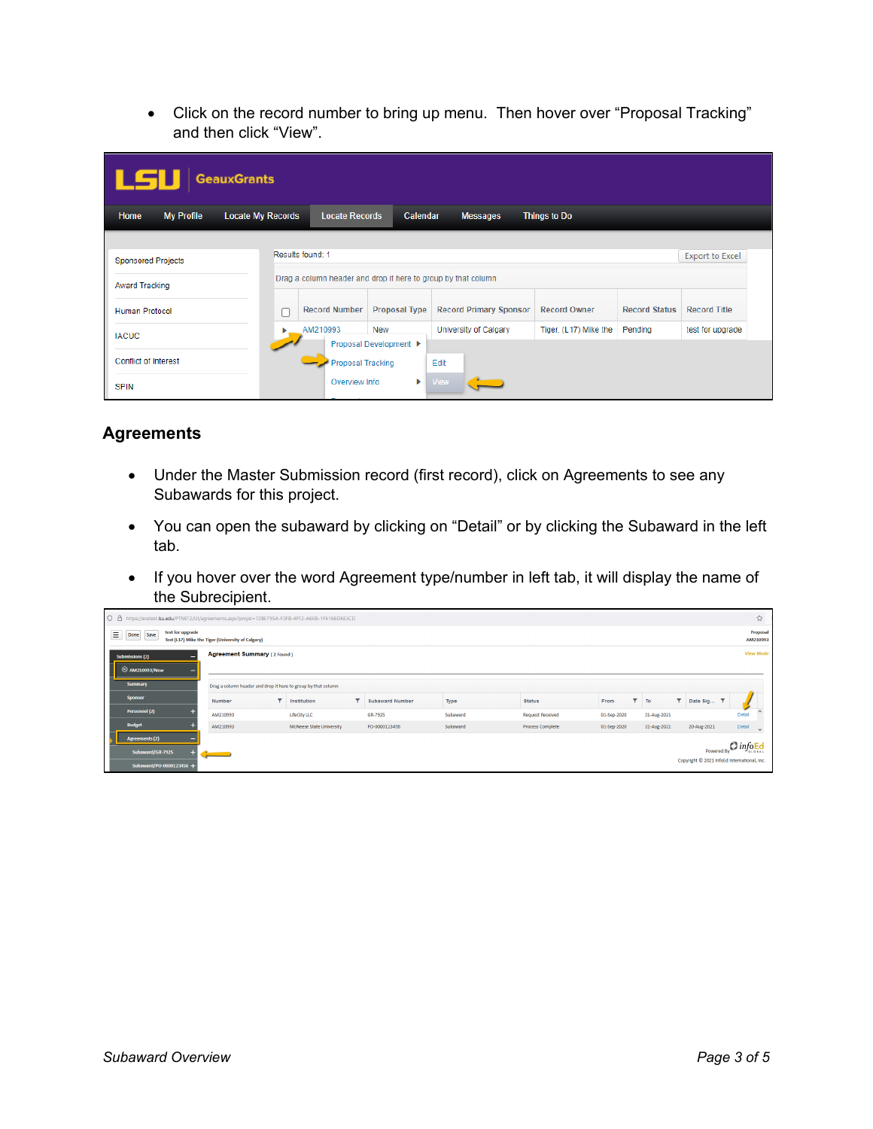• Click on the record number to bring up menu. Then hover over "Proposal Tracking" and then click "View".

| LSU<br><b>GeauxGrants</b>   |                          |                                                               |                                      |                               |                       |                      |                     |  |  |
|-----------------------------|--------------------------|---------------------------------------------------------------|--------------------------------------|-------------------------------|-----------------------|----------------------|---------------------|--|--|
| <b>My Profile</b><br>Home   | <b>Locate My Records</b> | <b>Locate Records</b>                                         | Calendar                             | <b>Messages</b>               | <b>Things to Do</b>   |                      |                     |  |  |
|                             |                          |                                                               |                                      |                               |                       |                      |                     |  |  |
| <b>Sponsored Projects</b>   | Results found: 1         | <b>Export to Excel</b>                                        |                                      |                               |                       |                      |                     |  |  |
| <b>Award Tracking</b>       |                          | Drag a column header and drop it here to group by that column |                                      |                               |                       |                      |                     |  |  |
| <b>Human Protocol</b><br>г  |                          | <b>Record Number</b><br><b>Proposal Type</b>                  |                                      | <b>Record Primary Sponsor</b> | <b>Record Owner</b>   | <b>Record Status</b> | <b>Record Title</b> |  |  |
| <b>IACUC</b>                |                          | AM210993                                                      | <b>New</b><br>Proposal Development ▶ | <b>University of Calgary</b>  | Tiger, (L17) Mike the | Pending              | test for upgrade    |  |  |
| <b>Conflict of Interest</b> |                          | <b>Proposal Tracking</b>                                      |                                      | Edit                          |                       |                      |                     |  |  |
| <b>SPIN</b>                 |                          | Overview Info                                                 | Þ.                                   | <b>View</b>                   |                       |                      |                     |  |  |

# **Agreements**

- Under the Master Submission record (first record), click on Agreements to see any Subawards for this project.
- You can open the subaward by clicking on "Detail" or by clicking the Subaward in the left tab.
- If you hover over the word Agreement type/number in left tab, it will display the name of the Subrecipient.

| O A https://eratest.lsu.edu/PTNET2/UI/agreements.aspx?projid=72BE795A-F3FB-4FF2-A608-1F6166D6E3CD |  |          |   |                                                               |  |                        |          |                         |             |                  | ☆                    |              |                                             |           |        |
|---------------------------------------------------------------------------------------------------|--|----------|---|---------------------------------------------------------------|--|------------------------|----------|-------------------------|-------------|------------------|----------------------|--------------|---------------------------------------------|-----------|--------|
| test for upgrade<br>Ξ<br>Save<br>Done<br>Test (L17) Mike the Tiger (University of Calgary)        |  |          |   |                                                               |  |                        |          |                         |             |                  | Proposal<br>AM210993 |              |                                             |           |        |
| <b>Agreement Summary (2 Found)</b><br><b>Submissions (2)</b><br>2 AM210993/New                    |  |          |   |                                                               |  |                        |          |                         |             | <b>View Mode</b> |                      |              |                                             |           |        |
| Summary                                                                                           |  |          |   | Drag a column header and drop it here to group by that column |  |                        |          |                         |             |                  |                      |              |                                             |           |        |
| <b>Sponsor</b>                                                                                    |  | Number   | ۳ | Institution                                                   |  | <b>Subaward Number</b> | Type     | <b>Status</b>           | From        |                  | To                   | $\mathbf{r}$ | Date Sig T                                  |           |        |
| Personnel (2)                                                                                     |  | AM210993 |   | <b>LifeCity LLC</b>                                           |  | GR-7925                | Subaward | <b>Request Received</b> | 01-Sep-2020 |                  | 31-Aug-2021          |              |                                             | Detai     |        |
| <b>Budget</b>                                                                                     |  | AM210993 |   | <b>McNeese State University</b>                               |  | PO-0000123456          | Subaward | <b>Process Complete</b> | 01-Sep-2020 |                  | 31-Aug-2021          |              | 20-Aug-2021                                 | Detail    | $\sim$ |
| <b>Agreements (2)</b>                                                                             |  |          |   |                                                               |  |                        |          |                         |             |                  |                      |              |                                             | $Q$ infoE |        |
| Subaward/GR-7925                                                                                  |  | -        |   |                                                               |  |                        |          |                         |             |                  |                      |              | <b>Powered By</b>                           |           | 6108A  |
| Subaward/PO-0000123456 +                                                                          |  |          |   |                                                               |  |                        |          |                         |             |                  |                      |              | Copyright © 2021 InfoEd International, Inc. |           |        |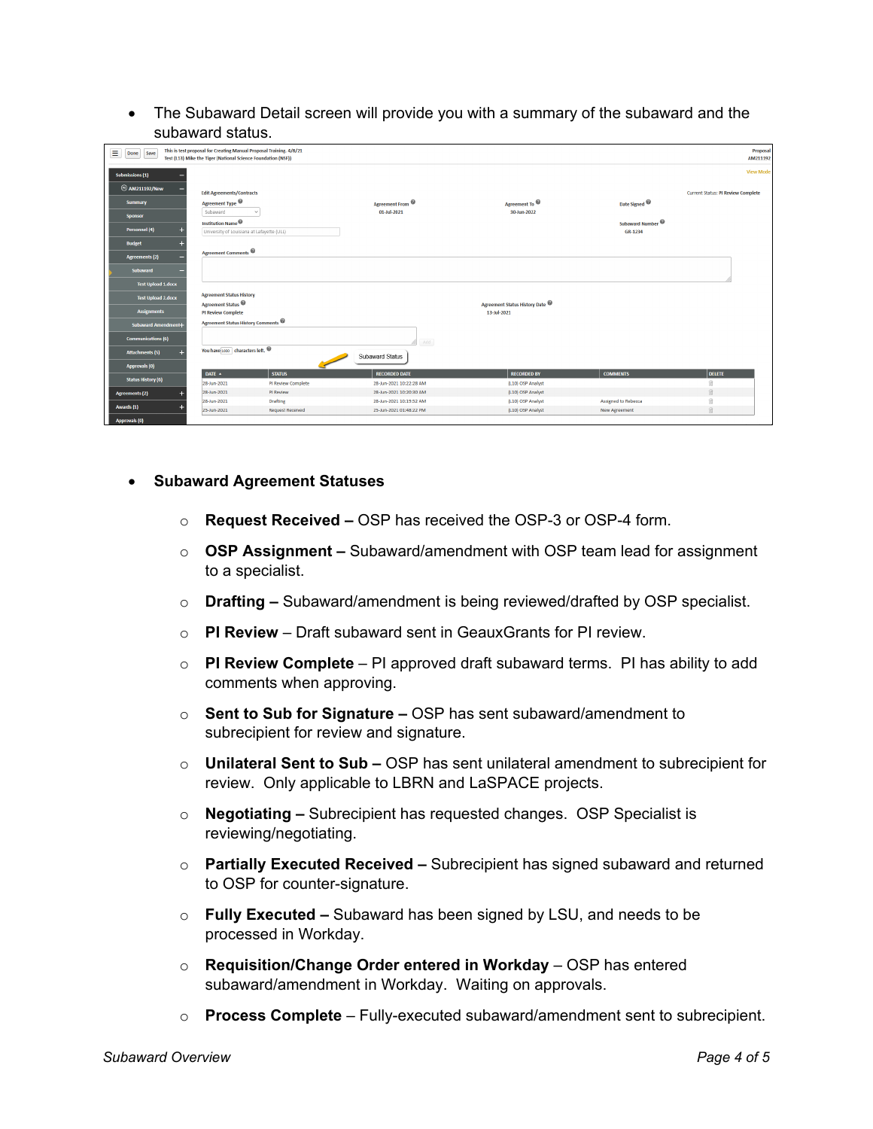• The Subaward Detail screen will provide you with a summary of the subaward and the subaward status.

| Ξ<br>Done Save             | This is test proposal for Creating Manual Proposal Training. 4/8/21<br>Test (L13) Mike the Tiger (National Science Foundation (NSF)) |                         |                         |                                                |                                         | Proposal<br>AM211192                      |
|----------------------------|--------------------------------------------------------------------------------------------------------------------------------------|-------------------------|-------------------------|------------------------------------------------|-----------------------------------------|-------------------------------------------|
| Submissions (1)            |                                                                                                                                      |                         |                         |                                                |                                         | <b>View Mode</b>                          |
| <b>2</b> AM211192/New      | <b>Edit Agreements/Contracts</b>                                                                                                     |                         |                         |                                                |                                         | <b>Current Status: PI Review Complete</b> |
| <b>Summary</b>             | Agreement Type <sup>@</sup>                                                                                                          |                         | Agreement From @        | Agreement To @                                 | Date Signed                             |                                           |
| <b>Sponsor</b>             | Subaward                                                                                                                             |                         | 01-Jul-2021             | 30-Jun-2022                                    |                                         |                                           |
| Personnel (4)              | Institution Name $\circledast$<br>University of Louisiana at Lafayette (ULL)                                                         |                         |                         |                                                | Subaward Number <sup>@</sup><br>GR-1234 |                                           |
| <b>Budget</b>              |                                                                                                                                      |                         |                         |                                                |                                         |                                           |
| <b>Agreements (2)</b>      | <b>Agreement Comments</b>                                                                                                            |                         |                         |                                                |                                         |                                           |
| Subaward                   |                                                                                                                                      |                         |                         |                                                |                                         |                                           |
| <b>Test Upload 1.docx</b>  |                                                                                                                                      |                         |                         |                                                |                                         |                                           |
| <b>Test Upload 2.docx</b>  | <b>Agreement Status History</b>                                                                                                      |                         |                         |                                                |                                         |                                           |
| <b>Assignments</b>         | Agreement Status <sup><sup>@</sup></sup><br><b>PI Review Complete</b>                                                                |                         |                         | Agreement Status History Date @<br>13-Jul-2021 |                                         |                                           |
|                            | Agreement Status History Comments                                                                                                    |                         |                         |                                                |                                         |                                           |
| <b>Subaward Amendment+</b> |                                                                                                                                      |                         |                         |                                                |                                         |                                           |
| <b>Communications (6)</b>  |                                                                                                                                      |                         | Add                     |                                                |                                         |                                           |
| <b>Attachments (5)</b>     | You have $1000$ characters left. $\circledast$                                                                                       |                         | Subaward Status         |                                                |                                         |                                           |
| <b>Approvals (0)</b>       |                                                                                                                                      |                         |                         |                                                |                                         |                                           |
| <b>Status History (6)</b>  | DATE A                                                                                                                               | <b>STATUS</b>           | <b>RECORDED DATE</b>    | <b>RECORDED BY</b>                             | <b>COMMENTS</b>                         | <b>DELETE</b>                             |
|                            | 28-Jun-2021                                                                                                                          | PI Review Complete      | 28-Jun-2021 10:22:28 AM | (L10) OSP Analyst                              |                                         |                                           |
| <b>Agreements (2)</b>      | 28-Jun-2021                                                                                                                          | PI Review               | 28-Jun-2021 10:20:30 AM | (L10) OSP Analyst                              |                                         | 日                                         |
| Awards (1)                 | 28-Jun-2021                                                                                                                          | <b>Drafting</b>         | 28-Jun-2021 10:19:52 AM | (L10) OSP Analyst                              | <b>Assigned to Rebecca</b>              | m                                         |
|                            | 25-Jun-2021                                                                                                                          | <b>Request Received</b> | 25-Jun-2021 01:48:22 PM | (L10) OSP Analyst                              | <b>New Agreement</b>                    | 自                                         |
| Approvals (0)              |                                                                                                                                      |                         |                         |                                                |                                         |                                           |

#### • Subaward Agreement Statuses

- Request Received OSP has received the OSP-3 or OSP-4 form.
- $\circ$  OSP Assignment Subaward/amendment with OSP team lead for assignment to a specialist.
- $\circ$  Drafting Subaward/amendment is being reviewed/drafted by OSP specialist.
- $\circ$  PI Review Draft subaward sent in Geaux Grants for PI review
- $\circ$  PI Review Complete PI approved draft subaward terms. PI has ability to add comments when approving.
- $\circ$  Sent to Sub for Signature OSP has sent subaward/amendment to subrecipient for review and signature.
- $\circ$  Unilateral Sent to Sub OSP has sent unilateral amendment to subrecipient for review. Only applicable to LBRN and LaSPACE projects.
- $\circ$  Negotiating Subrecipient has requested changes. OSP Specialist is reviewing/negotiating.
- $\circ$  Partially Executed Received Subrecipient has signed subaward and returned to OSP for counter-signature.
- $\circ$  Fully Executed Subaward has been signed by LSU, and needs to be processed in Workday.
- Requisition/Change Order entered in Workday OSP has entered subaward/amendment in Workday. Waiting on approvals.
- $\circ$  Process Complete Fully-executed subaward/amendment sent to subrecipient.